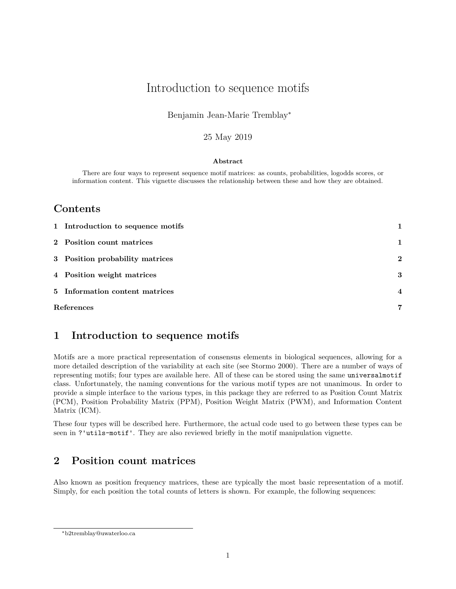# Introduction to sequence motifs

#### Benjamin Jean-Marie Tremblay<sup>∗</sup>

#### 25 May 2019

#### **Abstract**

There are four ways to represent sequence motif matrices: as counts, probabilities, logodds scores, or information content. This vignette discusses the relationship between these and how they are obtained.

### **Contents**

| 1 Introduction to sequence motifs |                  |
|-----------------------------------|------------------|
| 2 Position count matrices         | 1                |
| 3 Position probability matrices   | $\bf{2}$         |
| 4 Position weight matrices        | 3                |
| 5 Information content matrices    | $\boldsymbol{4}$ |
| References                        | 7                |

## <span id="page-0-0"></span>**1 Introduction to sequence motifs**

Motifs are a more practical representation of consensus elements in biological sequences, allowing for a more detailed description of the variability at each site (see Stormo 2000). There are a number of ways of representing motifs; four types are available here. All of these can be stored using the same universalmotif class. Unfortunately, the naming conventions for the various motif types are not unanimous. In order to provide a simple interface to the various types, in this package they are referred to as Position Count Matrix (PCM), Position Probability Matrix (PPM), Position Weight Matrix (PWM), and Information Content Matrix (ICM).

These four types will be described here. Furthermore, the actual code used to go between these types can be seen in ?'utils-motif'. They are also reviewed briefly in the motif manipulation vignette.

## <span id="page-0-1"></span>**2 Position count matrices**

Also known as position frequency matrices, these are typically the most basic representation of a motif. Simply, for each position the total counts of letters is shown. For example, the following sequences:

<sup>∗</sup>[b2tremblay@uwaterloo.ca](mailto:b2tremblay@uwaterloo.ca)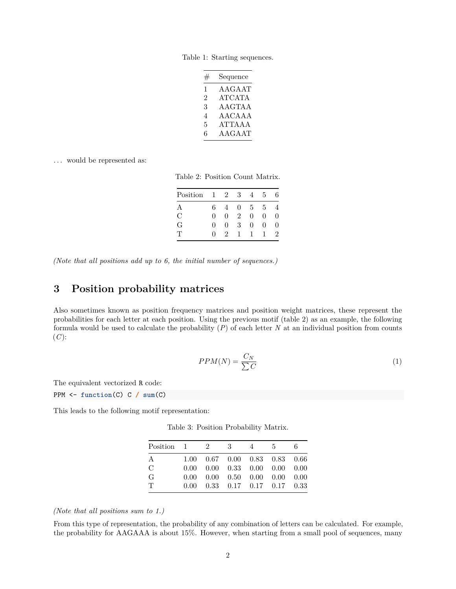Table 1: Starting sequences.

| # | Sequence      |
|---|---------------|
| 1 | AAGAAT        |
| 2 | <b>ATCATA</b> |
| 3 | <b>AAGTAA</b> |
| 4 | A ACA A A     |
| 5 | <b>ATTAAA</b> |
| 6 | AAGAAT        |

<span id="page-1-1"></span>... would be represented as:

Table 2: Position Count Matrix.

| Position      | -1         | 2 | 3              | 4              | 5        | 6 |
|---------------|------------|---|----------------|----------------|----------|---|
| А             | 6          |   | $\mathbf{0}$   | $\overline{5}$ | 5        |   |
| $\mathcal{C}$ | $\Omega$   | 0 | $\mathfrak{D}$ | 0              | $\Omega$ | O |
| G             | $\Omega$   | 0 | 3              | 0              | $\Omega$ | O |
| Ͳ             | $^{\circ}$ | 9 | ı              |                |          | 2 |

*(Note that all positions add up to 6, the initial number of sequences.)*

## <span id="page-1-0"></span>**3 Position probability matrices**

Also sometimes known as position frequency matrices and position weight matrices, these represent the probabilities for each letter at each position. Using the previous motif (table [2\)](#page-1-1) as an example, the following formula would be used to calculate the probability (*P*) of each letter *N* at an individual position from counts  $(C)$ :

$$
PPM(N) = \frac{C_N}{\sum C} \tag{1}
$$

The equivalent vectorized R code:

PPM <- **function**(C) C **/ sum**(C)

<span id="page-1-2"></span>This leads to the following motif representation:

| Position $1 \t 2 \t 3$ |  | 4                                                             | $-5$ | 6. |
|------------------------|--|---------------------------------------------------------------|------|----|
| Α                      |  | $1.00$ $0.67$ $0.00$ $0.83$ $0.83$ $0.66$                     |      |    |
| С                      |  | $0.00 \quad 0.00 \quad 0.33 \quad 0.00 \quad 0.00 \quad 0.00$ |      |    |
| G                      |  | $0.00 \quad 0.00 \quad 0.50 \quad 0.00 \quad 0.00 \quad 0.00$ |      |    |
| Τ                      |  | $0.00 \quad 0.33 \quad 0.17 \quad 0.17 \quad 0.17 \quad 0.33$ |      |    |

Table 3: Position Probability Matrix.

#### *(Note that all positions sum to 1.)*

From this type of representation, the probability of any combination of letters can be calculated. For example, the probability for AAGAAA is about 15%. However, when starting from a small pool of sequences, many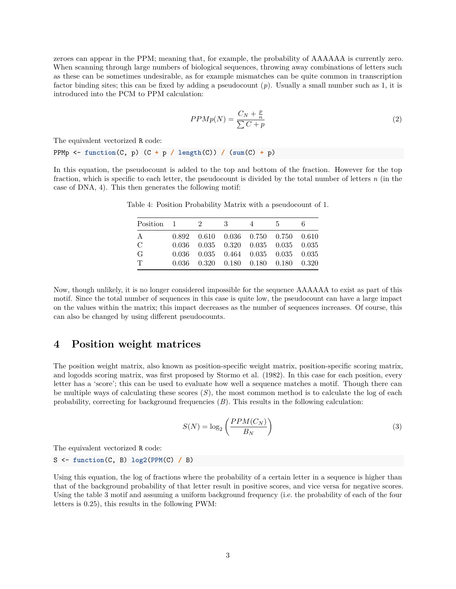zeroes can appear in the PPM; meaning that, for example, the probability of AAAAAA is currently zero. When scanning through large numbers of biological sequences, throwing away combinations of letters such as these can be sometimes undesirable, as for example mismatches can be quite common in transcription factor binding sites; this can be fixed by adding a pseudocount (*p*). Usually a small number such as 1, it is introduced into the PCM to PPM calculation:

$$
PPMp(N) = \frac{C_N + \frac{p}{n}}{\sum C + p}
$$
\n<sup>(2)</sup>

The equivalent vectorized R code:

PPMp <- **function**(C, p) (C **+** p **/ length**(C)) **/** (**sum**(C) **+** p)

<span id="page-2-1"></span>In this equation, the pseudocount is added to the top and bottom of the fraction. However for the top fraction, which is specific to each letter, the pseudocount is divided by the total number of letters *n* (in the case of DNA, 4). This then generates the following motif:

| Position $1 \t 2 \t 3$ |  | $4\phantom{.0000}\phantom{.0000}\phantom{.0000}\phantom{.0000}\phantom{.0000}\phantom{.0000}\phantom{.0000}\phantom{.0000}\phantom{.0000}\phantom{.0000}\phantom{.0000}\phantom{.0000}\phantom{.0000}\phantom{.0000}\phantom{.0000}\phantom{.0000}\phantom{.0000}\phantom{.0000}\phantom{.0000}\phantom{.0000}\phantom{.0000}\phantom{.0000}\phantom{.0000}\phantom{.0000}\phantom$ | 5 <sub>5</sub>                                  | 6. |
|------------------------|--|-------------------------------------------------------------------------------------------------------------------------------------------------------------------------------------------------------------------------------------------------------------------------------------------------------------------------------------------------------------------------------------|-------------------------------------------------|----|
| A                      |  |                                                                                                                                                                                                                                                                                                                                                                                     | $0.892$ $0.610$ $0.036$ $0.750$ $0.750$ $0.610$ |    |
| $\mathcal{C}$          |  |                                                                                                                                                                                                                                                                                                                                                                                     | $0.036$ $0.035$ $0.320$ $0.035$ $0.035$ $0.035$ |    |
| G                      |  |                                                                                                                                                                                                                                                                                                                                                                                     | $0.036$ $0.035$ $0.464$ $0.035$ $0.035$ $0.035$ |    |
| T                      |  |                                                                                                                                                                                                                                                                                                                                                                                     | $0.036$ $0.320$ $0.180$ $0.180$ $0.180$ $0.320$ |    |

Table 4: Position Probability Matrix with a pseudocount of 1.

Now, though unlikely, it is no longer considered impossible for the sequence AAAAAA to exist as part of this motif. Since the total number of sequences in this case is quite low, the pseudocount can have a large impact on the values within the matrix; this impact decreases as the number of sequences increases. Of course, this can also be changed by using different pseudocounts.

### <span id="page-2-0"></span>**4 Position weight matrices**

The position weight matrix, also known as position-specific weight matrix, position-specific scoring matrix, and logodds scoring matrix, was first proposed by Stormo et al. (1982). In this case for each position, every letter has a 'score'; this can be used to evaluate how well a sequence matches a motif. Though there can be multiple ways of calculating these scores (*S*), the most common method is to calculate the log of each probability, correcting for background frequencies (*B*). This results in the following calculation:

$$
S(N) = \log_2\left(\frac{PPM(C_N)}{B_N}\right) \tag{3}
$$

The equivalent vectorized R code:

S <- **function**(C, B) **log2**(**PPM**(C) **/** B)

Using this equation, the log of fractions where the probability of a certain letter in a sequence is higher than that of the background probability of that letter result in positive scores, and vice versa for negative scores. Using the table [3](#page-1-2) motif and assuming a uniform background frequency (i.e. the probability of each of the four letters is 0.25), this results in the following PWM: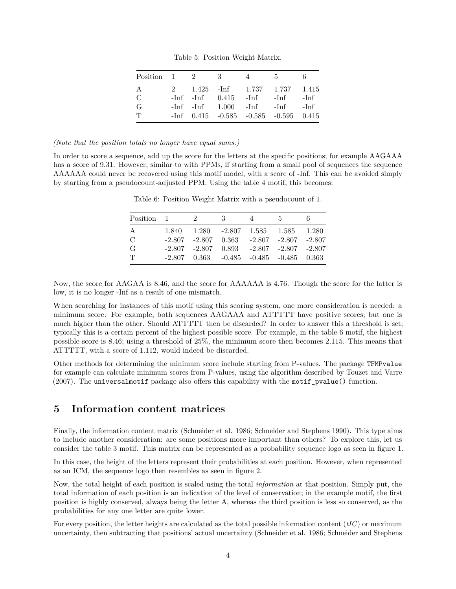Table 5: Position Weight Matrix.

| Position $1 \t 2 \t 3$ |  |                                               | $4\phantom{.0000}\phantom{.0000}\phantom{.0000}\phantom{.0000}\phantom{.0000}\phantom{.0000}\phantom{.0000}\phantom{.0000}\phantom{.0000}\phantom{.0000}\phantom{.0000}\phantom{.0000}\phantom{.0000}\phantom{.0000}\phantom{.0000}\phantom{.0000}\phantom{.0000}\phantom{.0000}\phantom{.0000}\phantom{.0000}\phantom{.0000}\phantom{.0000}\phantom{.0000}\phantom{.0000}\phantom$ | $5\degree$ |  |
|------------------------|--|-----------------------------------------------|-------------------------------------------------------------------------------------------------------------------------------------------------------------------------------------------------------------------------------------------------------------------------------------------------------------------------------------------------------------------------------------|------------|--|
| A                      |  | 2 1.425 - Inf 1.737 1.737 1.415               |                                                                                                                                                                                                                                                                                                                                                                                     |            |  |
| $\mathcal{C}$          |  | $-Inf$ $-Inf$ $0.415$ $-Inf$ $-Inf$ $-Inf$    |                                                                                                                                                                                                                                                                                                                                                                                     |            |  |
| G                      |  | $-Inf$ $-Inf$ $1.000$ $-Inf$ $-Inf$ $-Inf$    |                                                                                                                                                                                                                                                                                                                                                                                     |            |  |
| $\mathbf T$            |  | $-Inf$ 0.415 $-0.585$ $-0.585$ $-0.595$ 0.415 |                                                                                                                                                                                                                                                                                                                                                                                     |            |  |

#### *(Note that the position totals no longer have equal sums.)*

<span id="page-3-1"></span>In order to score a sequence, add up the score for the letters at the specific positions; for example AAGAAA has a score of 9.31. However, similar to with PPMs, if starting from a small pool of sequences the sequence AAAAAA could never be recovered using this motif model, with a score of -Inf. This can be avoided simply by starting from a pseudocount-adjusted PPM. Using the table [4](#page-2-1) motif, this becomes:

| Position 1 | $\overline{\phantom{a}2}$ | $\sim$ 3                                             | $\sim$ 4 | - 5 |  |
|------------|---------------------------|------------------------------------------------------|----------|-----|--|
| Α          |                           | $1.840$ $1.280$ $-2.807$ $1.585$ $1.585$ $1.280$     |          |     |  |
| С          |                           | $-2.807$ $-2.807$ $0.363$ $-2.807$ $-2.807$ $-2.807$ |          |     |  |
| G          |                           | $-2.807$ $-2.807$ $0.893$ $-2.807$ $-2.807$ $-2.807$ |          |     |  |
| T          |                           | $-2.807$ $0.363$ $-0.485$ $-0.485$ $-0.485$ $0.363$  |          |     |  |

Table 6: Position Weight Matrix with a pseudocount of 1.

Now, the score for AAGAA is 8.46, and the score for AAAAAA is 4.76. Though the score for the latter is low, it is no longer -Inf as a result of one mismatch.

When searching for instances of this motif using this scoring system, one more consideration is needed: a minimum score. For example, both sequences AAGAAA and ATTTTT have positive scores; but one is much higher than the other. Should ATTTTT then be discarded? In order to answer this a threshold is set; typically this is a certain percent of the highest possible score. For example, in the table [6](#page-3-1) motif, the highest possible score is 8.46; using a threshold of 25%, the minimum score then becomes 2.115. This means that ATTTTT, with a score of 1.112, would indeed be discarded.

Other methods for determining the minimum score include starting from P-values. The package TFMPvalue for example can calculate minimum scores from P-values, using the algorithm described by Touzet and Varre  $(2007)$ . The universalmotif package also offers this capability with the motif pvalue() function.

#### <span id="page-3-0"></span>**5 Information content matrices**

Finally, the information content matrix (Schneider et al. 1986; Schneider and Stephens 1990). This type aims to include another consideration: are some positions more important than others? To explore this, let us consider the table [3](#page-1-2) motif. This matrix can be represented as a probability sequence logo as seen in figure [1.](#page-4-0)

In this case, the height of the letters represent their probabilities at each position. However, when represented as an ICM, the sequence logo then resembles as seen in figure [2.](#page-4-1)

Now, the total height of each position is scaled using the total *information* at that position. Simply put, the total information of each position is an indication of the level of conservation; in the example motif, the first position is highly conserved, always being the letter A, whereas the third position is less so conserved, as the probabilities for any one letter are quite lower.

For every position, the letter heights are calculated as the total possible information content (*tIC*) or maximum uncertainty, then subtracting that positions' actual uncertainty (Schneider et al. 1986; Schneider and Stephens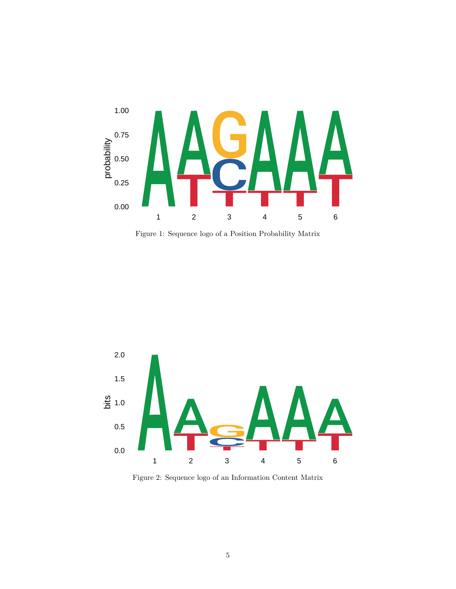

<span id="page-4-0"></span>Figure 1: Sequence logo of a Position Probability Matrix



<span id="page-4-1"></span>Figure 2: Sequence logo of an Information Content Matrix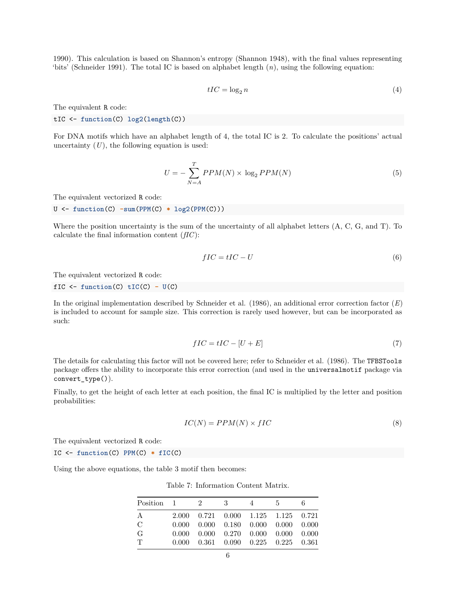1990). This calculation is based on Shannon's entropy (Shannon 1948), with the final values representing 'bits' (Schneider 1991). The total IC is based on alphabet length (*n*), using the following equation:

$$
tIC = \log_2 n \tag{4}
$$

The equivalent R code:

tIC <- **function**(C) **log2**(**length**(C))

For DNA motifs which have an alphabet length of 4, the total IC is 2. To calculate the positions' actual uncertainty  $(U)$ , the following equation is used:

$$
U = -\sum_{N=A}^{T} PPM(N) \times \log_2 PPM(N) \tag{5}
$$

The equivalent vectorized R code:

U <- **function**(C) **-sum**(**PPM**(C) **\* log2**(**PPM**(C)))

Where the position uncertainty is the sum of the uncertainty of all alphabet letters (A, C, G, and T). To calculate the final information content (*fIC*):

$$
fIC = tIC - U \tag{6}
$$

The equivalent vectorized R code:

 $fIC \leftarrow function(C) tIC(C) - U(C)$ 

In the original implementation described by Schneider et al. (1986), an additional error correction factor (*E*) is included to account for sample size. This correction is rarely used however, but can be incorporated as such:

$$
fIC = tIC - [U + E] \tag{7}
$$

The details for calculating this factor will not be covered here; refer to Schneider et al. (1986). The TFBSTools package offers the ability to incorporate this error correction (and used in the universalmotif package via convert\_type()).

Finally, to get the height of each letter at each position, the final IC is multiplied by the letter and position probabilities:

$$
IC(N) = PPM(N) \times fIC \tag{8}
$$

The equivalent vectorized R code:

IC <- **function**(C) **PPM**(C) **\* fIC**(C)

Using the above equations, the table [3](#page-1-2) motif then becomes:

Table 7: Information Content Matrix.

| Position 1    | $\overline{2}$ | $\overline{\phantom{a}3}$ | $\overline{4}$ | 5 <sup>5</sup>                                                      | 6. |
|---------------|----------------|---------------------------|----------------|---------------------------------------------------------------------|----|
| A             |                |                           |                | 2.000 0.721 0.000 1.125 1.125 0.721                                 |    |
| $\mathcal{C}$ |                |                           |                | $0.000$ $0.000$ $0.180$ $0.000$ $0.000$ $0.000$                     |    |
| G             |                |                           |                | $0.000$ $0.000$ $0.270$ $0.000$ $0.000$ $0.000$                     |    |
| $\top$        |                |                           |                | $0.000 \quad 0.361 \quad 0.090 \quad 0.225 \quad 0.225 \quad 0.361$ |    |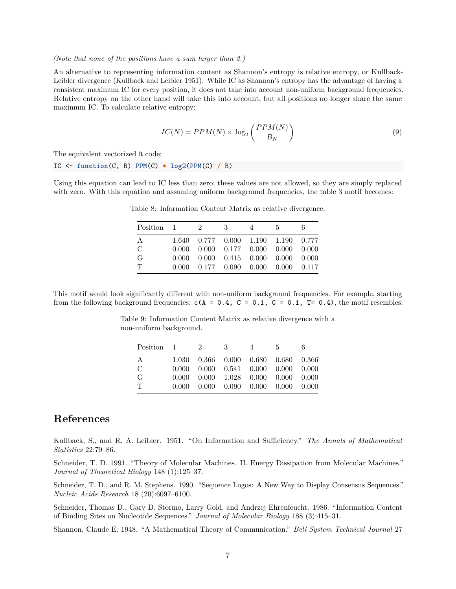#### *(Note that none of the positions have a sum larger than 2.)*

An alternative to representing information content as Shannon's entropy is relative entropy, or Kullback-Leibler divergence (Kullback and Leibler 1951). While IC as Shannon's entropy has the advantage of having a consistent maximum IC for every position, it does not take into account non-uniform background frequencies. Relative entropy on the other hand will take this into account, but all positions no longer share the same maximum IC. To calculate relative entropy:

$$
IC(N) = PPM(N) \times \log_2\left(\frac{PPM(N)}{B_N}\right) \tag{9}
$$

The equivalent vectorized R code:

IC <- **function**(C, B) **PPM**(C) **\* log2**(**PPM**(C) **/** B)

Using this equation can lead to IC less than zero; these values are not allowed, so they are simply replaced with zero. With this equation and assuming uniform background frequencies, the table [3](#page-1-2) motif becomes:

| $Position \quad 1 \quad 2$ |  | $\mathbf{3}$ | 4 | - 5                                                                 | 6. |
|----------------------------|--|--------------|---|---------------------------------------------------------------------|----|
| A                          |  |              |   | 1.640 0.777 0.000 1.190 1.190 0.777                                 |    |
| $\mathcal{C}$              |  |              |   | $0.000$ $0.000$ $0.177$ $0.000$ $0.000$ $0.000$                     |    |
| G                          |  |              |   | $0.000 \quad 0.000 \quad 0.415 \quad 0.000 \quad 0.000 \quad 0.000$ |    |
| $\mathbf T$                |  |              |   | $0.000$ $0.177$ $0.090$ $0.000$ $0.000$ $0.117$                     |    |

Table 8: Information Content Matrix as relative divergence.

This motif would look significantly different with non-uniform background frequencies. For example, starting from the following background frequencies:  $c(A = 0.4, C = 0.1, G = 0.1, T = 0.4)$ , the motif resembles:

> Table 9: Information Content Matrix as relative divergence with a non-uniform background.

| Position 1    | 2 | - 3 | $\overline{4}$                                                      | - 5 | 6 |
|---------------|---|-----|---------------------------------------------------------------------|-----|---|
| A             |   |     | 1.030  0.366  0.000  0.680  0.680  0.366                            |     |   |
| $\mathcal{C}$ |   |     | $0.000 \quad 0.000 \quad 0.541 \quad 0.000 \quad 0.000 \quad 0.000$ |     |   |
| G             |   |     | $0.000 \quad 0.000 \quad 1.028 \quad 0.000 \quad 0.000 \quad 0.000$ |     |   |
| $\mathbf T$   |   |     | $0.000$ $0.000$ $0.090$ $0.000$ $0.000$ $0.000$                     |     |   |

#### <span id="page-6-0"></span>**References**

Kullback, S., and R. A. Leibler. 1951. "On Information and Sufficiency." *The Annals of Mathematical Statistics* 22:79–86.

Schneider, T. D. 1991. "Theory of Molecular Machines. II. Energy Dissipation from Molecular Machines." *Journal of Theoretical Biology* 148 (1):125–37.

Schneider, T. D., and R. M. Stephens. 1990. "Sequence Logos: A New Way to Display Consensus Sequences." *Nucleic Acids Research* 18 (20):6097–6100.

Schneider, Thomas D., Gary D. Stormo, Larry Gold, and Andrzej Ehrenfeucht. 1986. "Information Content of Binding Sites on Nucleotide Sequences." *Journal of Molecular Biology* 188 (3):415–31.

Shannon, Claude E. 1948. "A Mathematical Theory of Communication." *Bell System Technical Journal* 27